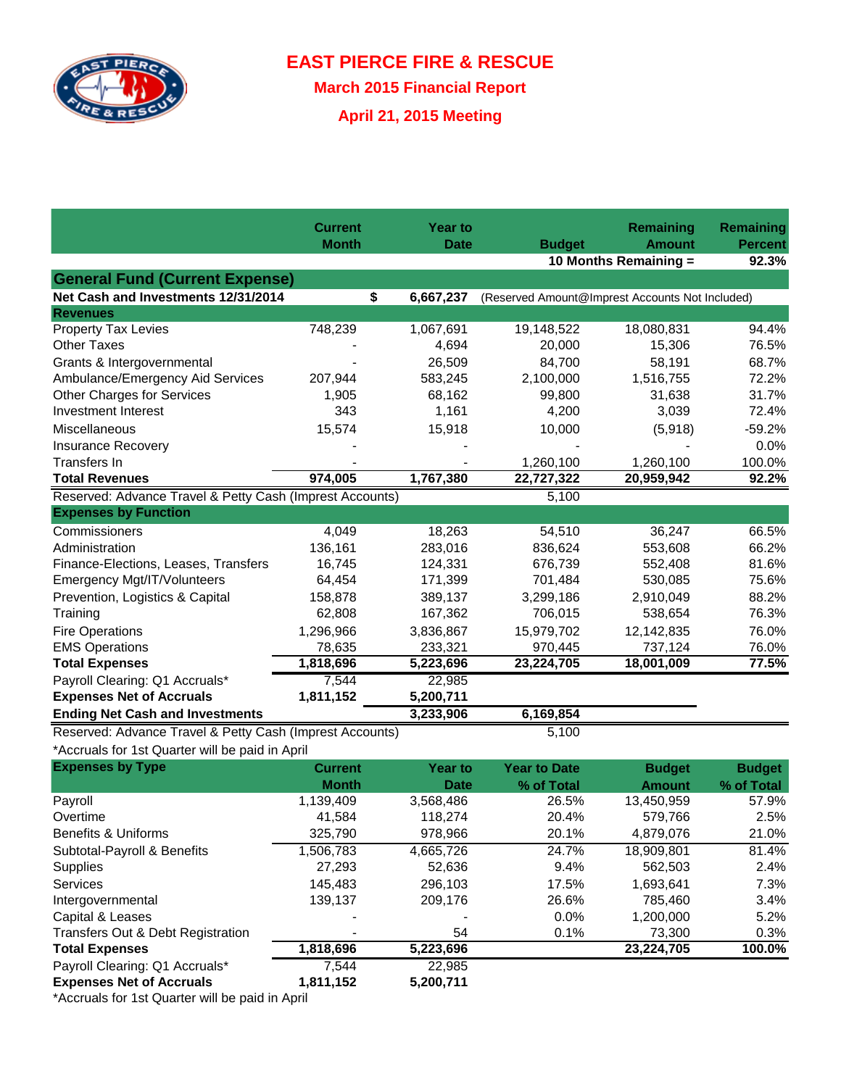

**EAST PIERCE FIRE & RESCUE**

**March 2015 Financial Report**

**April 21, 2015 Meeting**

|                                                          | <b>Current</b> | <b>Year to</b>  |                                                 | <b>Remaining</b>      | <b>Remaining</b> |
|----------------------------------------------------------|----------------|-----------------|-------------------------------------------------|-----------------------|------------------|
|                                                          | <b>Month</b>   | <b>Date</b>     | <b>Budget</b>                                   | <b>Amount</b>         | <b>Percent</b>   |
|                                                          |                |                 |                                                 | 10 Months Remaining = | 92.3%            |
| <b>General Fund (Current Expense)</b>                    |                |                 |                                                 |                       |                  |
| Net Cash and Investments 12/31/2014                      |                | \$<br>6,667,237 | (Reserved Amount@Imprest Accounts Not Included) |                       |                  |
| <b>Revenues</b>                                          |                |                 |                                                 |                       |                  |
| <b>Property Tax Levies</b>                               | 748,239        | 1,067,691       | 19,148,522                                      | 18,080,831            | 94.4%            |
| <b>Other Taxes</b>                                       |                | 4,694           | 20,000                                          | 15,306                | 76.5%            |
| Grants & Intergovernmental                               |                | 26,509          | 84,700                                          | 58,191                | 68.7%            |
| Ambulance/Emergency Aid Services                         | 207,944        | 583,245         | 2,100,000                                       | 1,516,755             | 72.2%            |
| <b>Other Charges for Services</b>                        | 1,905          | 68,162          | 99,800                                          | 31,638                | 31.7%            |
| Investment Interest                                      | 343            | 1,161           | 4,200                                           | 3,039                 | 72.4%            |
| Miscellaneous                                            | 15,574         | 15,918          | 10,000                                          | (5,918)               | $-59.2%$         |
| <b>Insurance Recovery</b>                                |                |                 |                                                 |                       | 0.0%             |
| <b>Transfers In</b>                                      |                |                 | 1,260,100                                       | 1,260,100             | 100.0%           |
| <b>Total Revenues</b>                                    | 974,005        | 1,767,380       | 22,727,322                                      | 20,959,942            | 92.2%            |
| Reserved: Advance Travel & Petty Cash (Imprest Accounts) |                |                 | 5,100                                           |                       |                  |
| <b>Expenses by Function</b>                              |                |                 |                                                 |                       |                  |
| Commissioners                                            | 4,049          | 18,263          | 54,510                                          | 36,247                | 66.5%            |
| Administration                                           | 136,161        | 283,016         | 836,624                                         | 553,608               | 66.2%            |
| Finance-Elections, Leases, Transfers                     | 16,745         | 124,331         | 676,739                                         | 552,408               | 81.6%            |
| Emergency Mgt/IT/Volunteers                              | 64,454         | 171,399         | 701,484                                         | 530,085               | 75.6%            |
| Prevention, Logistics & Capital                          | 158,878        | 389,137         | 3,299,186                                       | 2,910,049             | 88.2%            |
| Training                                                 | 62,808         | 167,362         | 706,015                                         | 538,654               | 76.3%            |
| <b>Fire Operations</b>                                   | 1,296,966      | 3,836,867       | 15,979,702                                      | 12,142,835            | 76.0%            |
| <b>EMS Operations</b>                                    | 78,635         | 233,321         | 970,445                                         | 737,124               | 76.0%            |
| <b>Total Expenses</b>                                    | 1,818,696      | 5,223,696       | 23,224,705                                      | 18,001,009            | 77.5%            |
| Payroll Clearing: Q1 Accruals*                           | 7,544          | 22,985          |                                                 |                       |                  |
| <b>Expenses Net of Accruals</b>                          | 1,811,152      | 5,200,711       |                                                 |                       |                  |
| <b>Ending Net Cash and Investments</b>                   |                | 3,233,906       | 6,169,854                                       |                       |                  |
| Reserved: Advance Travel & Petty Cash (Imprest Accounts) |                |                 | 5,100                                           |                       |                  |
| *Accruals for 1st Quarter will be paid in April          |                |                 |                                                 |                       |                  |
| <b>Expenses by Type</b>                                  | <b>Current</b> | <b>Year to</b>  | <b>Year to Date</b>                             | <b>Budget</b>         | <b>Budget</b>    |
|                                                          | <b>Month</b>   | <b>Date</b>     | % of Total                                      | <b>Amount</b>         | % of Total       |
| Payroll                                                  | 1,139,409      | 3,568,486       | 26.5%                                           | 13,450,959            | 57.9%            |
| Overtime                                                 | 41,584         | 118,274         | 20.4%                                           | 579,766               | 2.5%             |
| Benefits & Uniforms                                      | 325,790        | 978,966         | 20.1%                                           | 4,879,076             | 21.0%            |
| Subtotal-Payroll & Benefits                              | 1,506,783      | 4,665,726       | 24.7%                                           | 18,909,801            | 81.4%            |
| Supplies                                                 | 27,293         | 52,636          | 9.4%                                            | 562,503               | 2.4%             |
| Services                                                 | 145,483        | 296,103         | 17.5%                                           | 1,693,641             | 7.3%             |
| Intergovernmental                                        | 139,137        | 209,176         | 26.6%                                           | 785,460               | 3.4%             |
| Capital & Leases                                         |                |                 | 0.0%                                            | 1,200,000             | 5.2%             |
| Transfers Out & Debt Registration                        |                | 54              | 0.1%                                            | 73,300                | 0.3%             |
| <b>Total Expenses</b>                                    | 1,818,696      | 5,223,696       |                                                 | 23,224,705            | 100.0%           |
| Payroll Clearing: Q1 Accruals*                           | 7,544          | 22,985          |                                                 |                       |                  |
| <b>Expenses Net of Accruals</b>                          | 1,811,152      | 5,200,711       |                                                 |                       |                  |
| *Accruale for 1st Quarter will be paid in April          |                |                 |                                                 |                       |                  |

\*Accruals for 1st Quarter will be paid in April